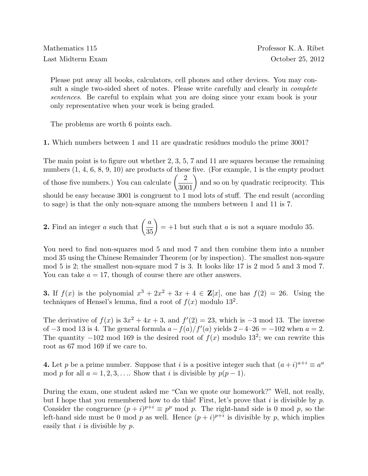Please put away all books, calculators, cell phones and other devices. You may consult a single two-sided sheet of notes. Please write carefully and clearly in *complete* sentences. Be careful to explain what you are doing since your exam book is your only representative when your work is being graded.

The problems are worth 6 points each.

1. Which numbers between 1 and 11 are quadratic residues modulo the prime 3001?

The main point is to figure out whether 2, 3, 5, 7 and 11 are squares because the remaining numbers  $(1, 4, 6, 8, 9, 10)$  are products of these five. (For example, 1 is the empty product of those five numbers.) You can calculate  $\left(\frac{2}{3001}\right)$ and so on by quadratic reciprocity. This should be easy because 3001 is congruent to 1 mod lots of stuff. The end result (according to sage) is that the only non-square among the numbers between 1 and 11 is 7.

**2.** Find an integer a such that  $\left(\frac{a}{35}\right)$  $= +1$  but such that a is not a square modulo 35.

You need to find non-squares mod 5 and mod 7 and then combine them into a number mod 35 using the Chinese Remainder Theorem (or by inspection). The smallest non-sqaure mod 5 is 2; the smallest non-square mod 7 is 3. It looks like 17 is 2 mod 5 and 3 mod 7. You can take  $a = 17$ , though of course there are other answers.

**3.** If  $f(x)$  is the polynomial  $x^3 + 2x^2 + 3x + 4 \in \mathbb{Z}[x]$ , one has  $f(2) = 26$ . Using the techniques of Hensel's lemma, find a root of  $f(x)$  modulo 13<sup>2</sup>.

The derivative of  $f(x)$  is  $3x^2 + 4x + 3$ , and  $f'(2) = 23$ , which is  $-3$  mod 13. The inverse of  $-3$  mod 13 is 4. The general formula  $a - f(a)/f'(a)$  yields  $2-4 \cdot 26 = -102$  when  $a = 2$ . The quantity  $-102 \mod 169$  is the desired root of  $f(x)$  modulo 13<sup>2</sup>; we can rewrite this root as 67 mod 169 if we care to.

**4.** Let p be a prime number. Suppose that i is a positive integer such that  $(a+i)^{a+i} \equiv a^a$ mod p for all  $a = 1, 2, 3, \ldots$  Show that i is divisible by  $p(p-1)$ .

During the exam, one student asked me "Can we quote our homework?" Well, not really, but I hope that you remembered how to do this! First, let's prove that i is divisible by p. Consider the congruence  $(p + i)^{p+i} \equiv p^p \mod p$ . The right-hand side is 0 mod p, so the left-hand side must be 0 mod p as well. Hence  $(p+i)^{p+i}$  is divisible by p, which implies easily that  $i$  is divisible by  $p$ .